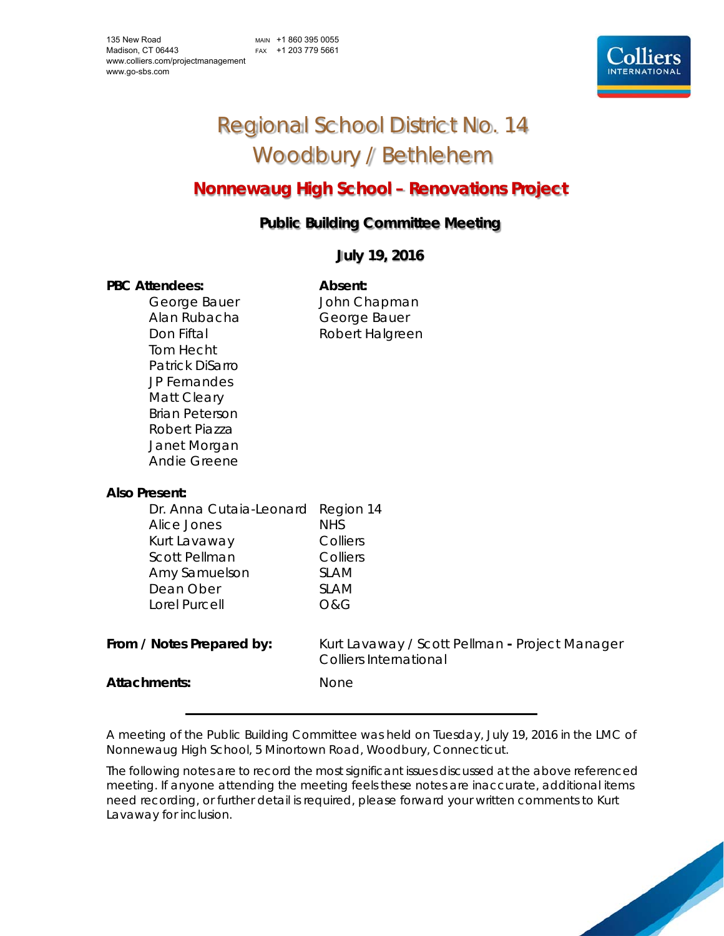MAIN +1 860 395 0055 FAX +1 203 779 5661



# Regional School District No. 14 Woodbury / Bethlehem

## **Nonnewaug High School – Renovations Project**

### **Public Building Committee Meeting**

#### **July 19, 2016**

#### PBC Attendees: **Absent:**

Alan Rubacha George Bauer Tom Hecht Patrick DiSarro JP Fernandes Matt Cleary Brian Peterson Robert Piazza Janet Morgan Andie Greene

George Bauer **John Chapman** Don Fiftal **Robert Halgreen** 

| Also Present:             |                                                                          |
|---------------------------|--------------------------------------------------------------------------|
| Dr. Anna Cutaia-Leonard   | Region 14                                                                |
| Alice Jones               | NHS.                                                                     |
| Kurt Lavaway              | Colliers                                                                 |
| <b>Scott Pellman</b>      | Colliers                                                                 |
| Amy Samuelson             | SI AM                                                                    |
| Dean Ober                 | SI AM                                                                    |
| Lorel Purcell             | O&G                                                                      |
|                           |                                                                          |
| From / Notes Prepared by: | Kurt Lavaway / Scott Pellman - Project Manager<br>Colliers International |
| Attachments:              | <b>None</b>                                                              |

A meeting of the Public Building Committee was held on Tuesday, July 19, 2016 in the LMC of Nonnewaug High School, 5 Minortown Road, Woodbury, Connecticut.

The following notes are to record the most significant issues discussed at the above referenced meeting. If anyone attending the meeting feels these notes are inaccurate, additional items need recording, or further detail is required, please forward your written comments to Kurt Lavaway for inclusion.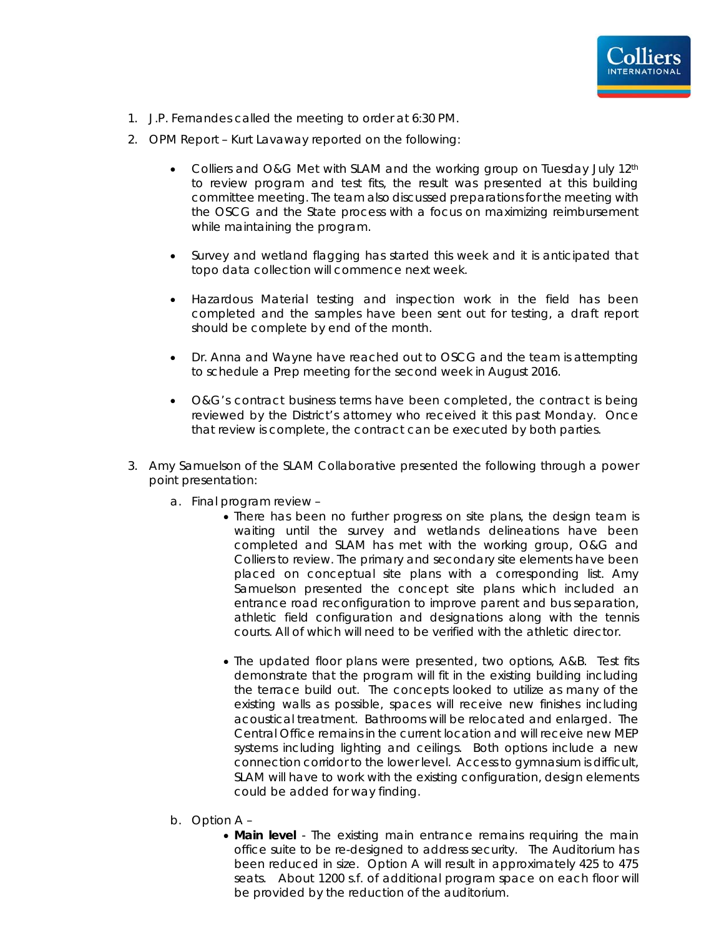

- 1. J.P. Fernandes called the meeting to order at 6:30 PM.
- 2. OPM Report Kurt Lavaway reported on the following:
	- Colliers and O&G Met with SLAM and the working group on Tuesday July 12th to review program and test fits, the result was presented at this building committee meeting. The team also discussed preparations for the meeting with the OSCG and the State process with a focus on maximizing reimbursement while maintaining the program.
	- Survey and wetland flagging has started this week and it is anticipated that topo data collection will commence next week.
	- Hazardous Material testing and inspection work in the field has been completed and the samples have been sent out for testing, a draft report should be complete by end of the month.
	- Dr. Anna and Wayne have reached out to OSCG and the team is attempting to schedule a Prep meeting for the second week in August 2016.
	- O&G's contract business terms have been completed, the contract is being reviewed by the District's attorney who received it this past Monday. Once that review is complete, the contract can be executed by both parties.
- 3. Amy Samuelson of the SLAM Collaborative presented the following through a power point presentation:
	- a. Final program review
		- There has been no further progress on site plans, the design team is waiting until the survey and wetlands delineations have been completed and SLAM has met with the working group, O&G and Colliers to review. The primary and secondary site elements have been placed on conceptual site plans with a corresponding list. Amy Samuelson presented the concept site plans which included an entrance road reconfiguration to improve parent and bus separation, athletic field configuration and designations along with the tennis courts. All of which will need to be verified with the athletic director.
		- The updated floor plans were presented, two options, A&B. Test fits demonstrate that the program will fit in the existing building including the terrace build out. The concepts looked to utilize as many of the existing walls as possible, spaces will receive new finishes including acoustical treatment. Bathrooms will be relocated and enlarged. The Central Office remains in the current location and will receive new MEP systems including lighting and ceilings. Both options include a new connection corridor to the lower level. Access to gymnasium is difficult, SLAM will have to work with the existing configuration, design elements could be added for way finding.
	- b. Option A
		- **Main level** The existing main entrance remains requiring the main office suite to be re-designed to address security. The Auditorium has been reduced in size. Option A will result in approximately 425 to 475 seats. About 1200 s.f. of additional program space on each floor will be provided by the reduction of the auditorium.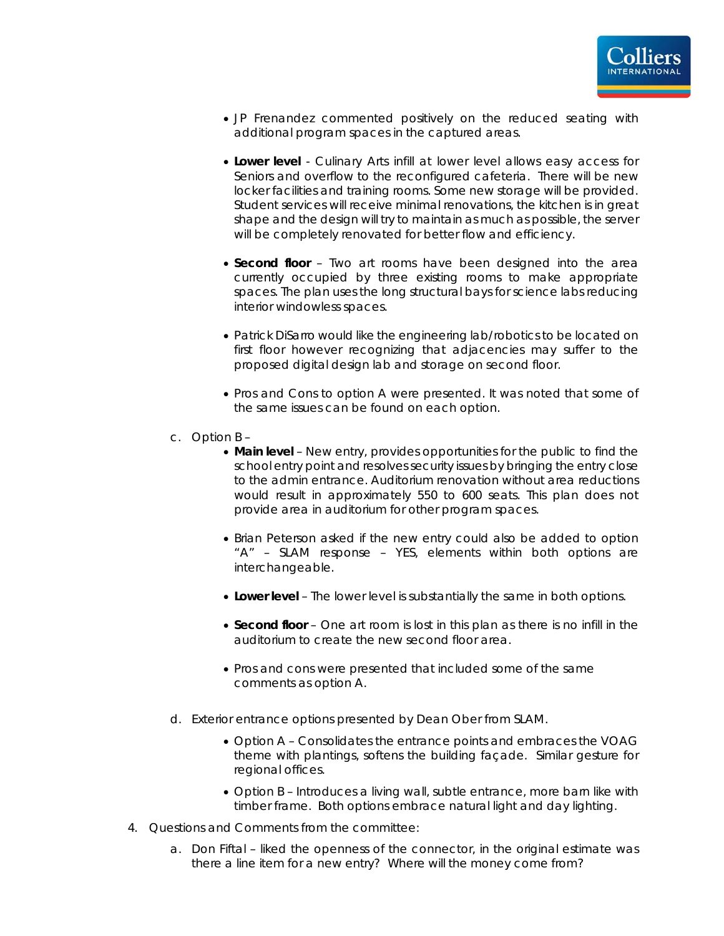

- JP Frenandez commented positively on the reduced seating with additional program spaces in the captured areas.
- **Lower level** Culinary Arts infill at lower level allows easy access for Seniors and overflow to the reconfigured cafeteria. There will be new locker facilities and training rooms. Some new storage will be provided. Student services will receive minimal renovations, the kitchen is in great shape and the design will try to maintain as much as possible, the server will be completely renovated for better flow and efficiency.
- **Second floor** Two art rooms have been designed into the area currently occupied by three existing rooms to make appropriate spaces. The plan uses the long structural bays for science labs reducing interior windowless spaces.
- Patrick DiSarro would like the engineering lab/robotics to be located on first floor however recognizing that adjacencies may suffer to the proposed digital design lab and storage on second floor.
- Pros and Cons to option A were presented. It was noted that some of the same issues can be found on each option.
- c. Option B
	- **Main level** New entry, provides opportunities for the public to find the school entry point and resolves security issues by bringing the entry close to the admin entrance. Auditorium renovation without area reductions would result in approximately 550 to 600 seats. This plan does not provide area in auditorium for other program spaces.
	- Brian Peterson asked if the new entry could also be added to option "A" – SLAM response – YES, elements within both options are interchangeable.
	- **Lower level** The lower level is substantially the same in both options.
	- **Second floor** One art room is lost in this plan as there is no infill in the auditorium to create the new second floor area.
	- Pros and cons were presented that included some of the same comments as option A.
- d. Exterior entrance options presented by Dean Ober from SLAM.
	- Option A Consolidates the entrance points and embraces the VOAG theme with plantings, softens the building façade. Similar gesture for regional offices.
	- Option B Introduces a living wall, subtle entrance, more barn like with timber frame. Both options embrace natural light and day lighting.
- 4. Questions and Comments from the committee:
	- a. Don Fiftal liked the openness of the connector, in the original estimate was there a line item for a new entry? Where will the money come from?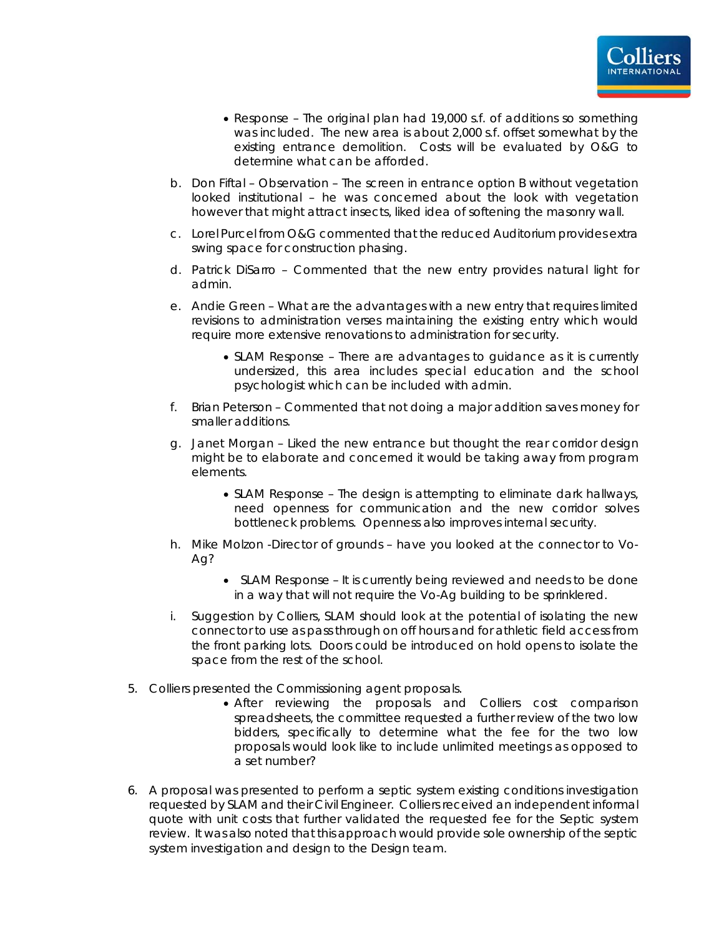- Response The original plan had 19,000 s.f. of additions so something was included. The new area is about 2,000 s.f. offset somewhat by the existing entrance demolition. Costs will be evaluated by O&G to determine what can be afforded.
- b. Don Fiftal Observation The screen in entrance option B without vegetation looked institutional – he was concerned about the look with vegetation however that might attract insects, liked idea of softening the masonry wall.
- c. Lorel Purcel from O&G commented that the reduced Auditorium provides extra swing space for construction phasing.
- d. Patrick DiSarro Commented that the new entry provides natural light for admin.
- e. Andie Green What are the advantages with a new entry that requires limited revisions to administration verses maintaining the existing entry which would require more extensive renovations to administration for security.
	- SLAM Response There are advantages to guidance as it is currently undersized, this area includes special education and the school psychologist which can be included with admin.
- f. Brian Peterson Commented that not doing a major addition saves money for smaller additions.
- g. Janet Morgan Liked the new entrance but thought the rear corridor design might be to elaborate and concerned it would be taking away from program elements.
	- SLAM Response The design is attempting to eliminate dark hallways, need openness for communication and the new corridor solves bottleneck problems. Openness also improves internal security.
- h. Mike Molzon -Director of grounds have you looked at the connector to Vo-Ag?
	- SLAM Response It is currently being reviewed and needs to be done in a way that will not require the Vo-Ag building to be sprinklered.
- i. Suggestion by Colliers, SLAM should look at the potential of isolating the new connector to use as pass through on off hours and for athletic field access from the front parking lots. Doors could be introduced on hold opens to isolate the space from the rest of the school.
- 5. Colliers presented the Commissioning agent proposals.
	- After reviewing the proposals and Colliers cost comparison spreadsheets, the committee requested a further review of the two low bidders, specifically to determine what the fee for the two low proposals would look like to include unlimited meetings as opposed to a set number?
- 6. A proposal was presented to perform a septic system existing conditions investigation requested by SLAM and their Civil Engineer. Colliers received an independent informal quote with unit costs that further validated the requested fee for the Septic system review. It was also noted that this approach would provide sole ownership of the septic system investigation and design to the Design team.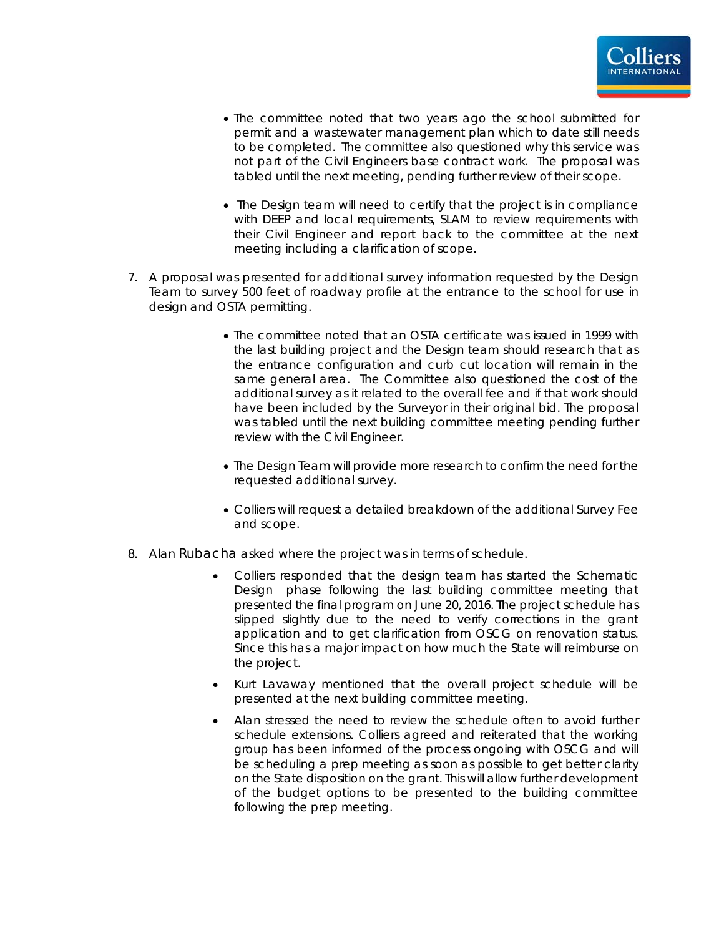

- The committee noted that two years ago the school submitted for permit and a wastewater management plan which to date still needs to be completed. The committee also questioned why this service was not part of the Civil Engineers base contract work. The proposal was tabled until the next meeting, pending further review of their scope.
- The Design team will need to certify that the project is in compliance with DEEP and local requirements, SLAM to review requirements with their Civil Engineer and report back to the committee at the next meeting including a clarification of scope.
- 7. A proposal was presented for additional survey information requested by the Design Team to survey 500 feet of roadway profile at the entrance to the school for use in design and OSTA permitting.
	- The committee noted that an OSTA certificate was issued in 1999 with the last building project and the Design team should research that as the entrance configuration and curb cut location will remain in the same general area. The Committee also questioned the cost of the additional survey as it related to the overall fee and if that work should have been included by the Surveyor in their original bid. The proposal was tabled until the next building committee meeting pending further review with the Civil Engineer.
	- The Design Team will provide more research to confirm the need for the requested additional survey.
	- Colliers will request a detailed breakdown of the additional Survey Fee and scope.
- 8. Alan Rubacha asked where the project was in terms of schedule.
	- Colliers responded that the design team has started the Schematic Design phase following the last building committee meeting that presented the final program on June 20, 2016. The project schedule has slipped slightly due to the need to verify corrections in the grant application and to get clarification from OSCG on renovation status. Since this has a major impact on how much the State will reimburse on the project.
	- Kurt Lavaway mentioned that the overall project schedule will be presented at the next building committee meeting.
	- Alan stressed the need to review the schedule often to avoid further schedule extensions. Colliers agreed and reiterated that the working group has been informed of the process ongoing with OSCG and will be scheduling a prep meeting as soon as possible to get better clarity on the State disposition on the grant. This will allow further development of the budget options to be presented to the building committee following the prep meeting.